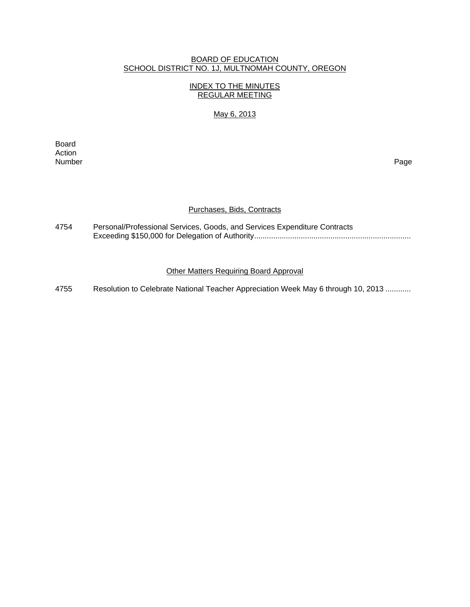#### BOARD OF EDUCATION SCHOOL DISTRICT NO. 1J, MULTNOMAH COUNTY, OREGON

## INDEX TO THE MINUTES REGULAR MEETING

## May 6, 2013

**Board Board** Action<br>Number Number Page

### Purchases, Bids, Contracts

| 4754 | Personal/Professional Services, Goods, and Services Expenditure Contracts |
|------|---------------------------------------------------------------------------|
|      |                                                                           |

## Other Matters Requiring Board Approval

4755 Resolution to Celebrate National Teacher Appreciation Week May 6 through 10, 2013 ............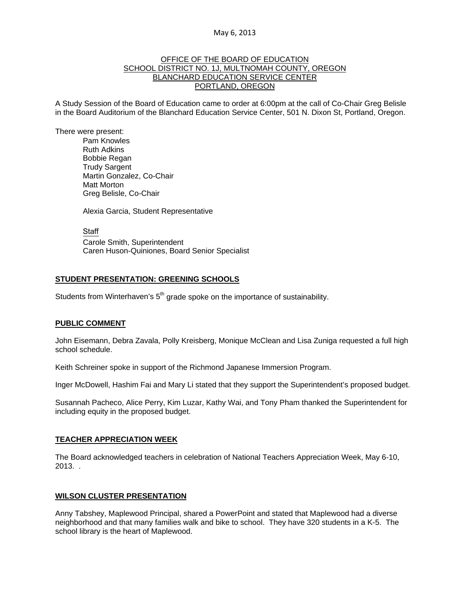#### OFFICE OF THE BOARD OF EDUCATION SCHOOL DISTRICT NO. 1J, MULTNOMAH COUNTY, OREGON BLANCHARD EDUCATION SERVICE CENTER PORTLAND, OREGON

A Study Session of the Board of Education came to order at 6:00pm at the call of Co-Chair Greg Belisle in the Board Auditorium of the Blanchard Education Service Center, 501 N. Dixon St, Portland, Oregon.

There were present: Pam Knowles

Ruth Adkins Bobbie Regan Trudy Sargent Martin Gonzalez, Co-Chair Matt Morton Greg Belisle, Co-Chair

Alexia Garcia, Student Representative

**Staff**  Carole Smith, Superintendent Caren Huson-Quiniones, Board Senior Specialist

### **STUDENT PRESENTATION: GREENING SCHOOLS**

Students from Winterhaven's  $5<sup>th</sup>$  grade spoke on the importance of sustainability.

#### **PUBLIC COMMENT**

John Eisemann, Debra Zavala, Polly Kreisberg, Monique McClean and Lisa Zuniga requested a full high school schedule.

Keith Schreiner spoke in support of the Richmond Japanese Immersion Program.

Inger McDowell, Hashim Fai and Mary Li stated that they support the Superintendent's proposed budget.

Susannah Pacheco, Alice Perry, Kim Luzar, Kathy Wai, and Tony Pham thanked the Superintendent for including equity in the proposed budget.

#### **TEACHER APPRECIATION WEEK**

The Board acknowledged teachers in celebration of National Teachers Appreciation Week, May 6-10, 2013. .

#### **WILSON CLUSTER PRESENTATION**

Anny Tabshey, Maplewood Principal, shared a PowerPoint and stated that Maplewood had a diverse neighborhood and that many families walk and bike to school. They have 320 students in a K-5. The school library is the heart of Maplewood.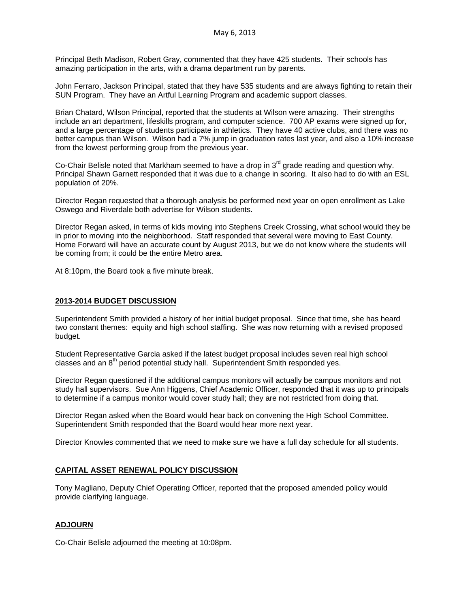Principal Beth Madison, Robert Gray, commented that they have 425 students. Their schools has amazing participation in the arts, with a drama department run by parents.

John Ferraro, Jackson Principal, stated that they have 535 students and are always fighting to retain their SUN Program. They have an Artful Learning Program and academic support classes.

Brian Chatard, Wilson Principal, reported that the students at Wilson were amazing. Their strengths include an art department, lifeskills program, and computer science. 700 AP exams were signed up for, and a large percentage of students participate in athletics. They have 40 active clubs, and there was no better campus than Wilson. Wilson had a 7% jump in graduation rates last year, and also a 10% increase from the lowest performing group from the previous year.

Co-Chair Belisle noted that Markham seemed to have a drop in  $3<sup>rd</sup>$  grade reading and question why. Principal Shawn Garnett responded that it was due to a change in scoring. It also had to do with an ESL population of 20%.

Director Regan requested that a thorough analysis be performed next year on open enrollment as Lake Oswego and Riverdale both advertise for Wilson students.

Director Regan asked, in terms of kids moving into Stephens Creek Crossing, what school would they be in prior to moving into the neighborhood. Staff responded that several were moving to East County. Home Forward will have an accurate count by August 2013, but we do not know where the students will be coming from; it could be the entire Metro area.

At 8:10pm, the Board took a five minute break.

#### **2013-2014 BUDGET DISCUSSION**

Superintendent Smith provided a history of her initial budget proposal. Since that time, she has heard two constant themes: equity and high school staffing. She was now returning with a revised proposed budget.

Student Representative Garcia asked if the latest budget proposal includes seven real high school classes and an 8<sup>th</sup> period potential study hall. Superintendent Smith responded yes.

Director Regan questioned if the additional campus monitors will actually be campus monitors and not study hall supervisors. Sue Ann Higgens, Chief Academic Officer, responded that it was up to principals to determine if a campus monitor would cover study hall; they are not restricted from doing that.

Director Regan asked when the Board would hear back on convening the High School Committee. Superintendent Smith responded that the Board would hear more next year.

Director Knowles commented that we need to make sure we have a full day schedule for all students.

## **CAPITAL ASSET RENEWAL POLICY DISCUSSION**

Tony Magliano, Deputy Chief Operating Officer, reported that the proposed amended policy would provide clarifying language.

#### **ADJOURN**

Co-Chair Belisle adjourned the meeting at 10:08pm.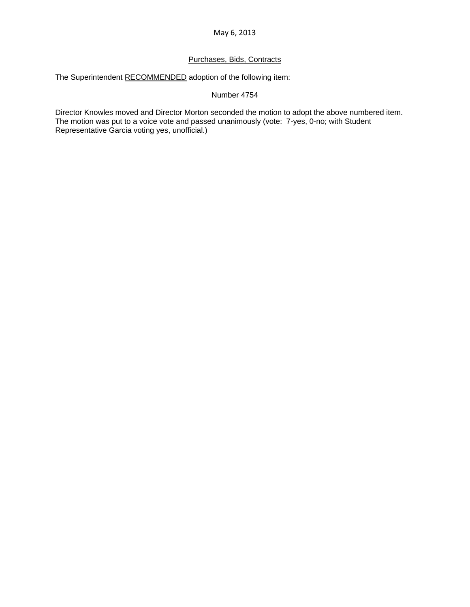## Purchases, Bids, Contracts

The Superintendent RECOMMENDED adoption of the following item:

Number 4754

Director Knowles moved and Director Morton seconded the motion to adopt the above numbered item. The motion was put to a voice vote and passed unanimously (vote: 7-yes, 0-no; with Student Representative Garcia voting yes, unofficial.)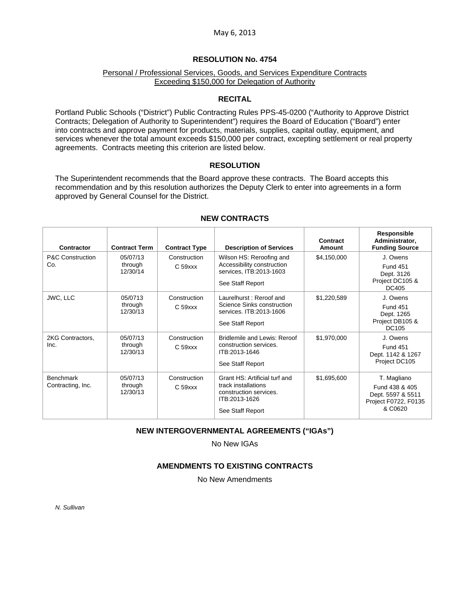#### **RESOLUTION No. 4754**

### Personal / Professional Services, Goods, and Services Expenditure Contracts Exceeding \$150,000 for Delegation of Authority

### **RECITAL**

Portland Public Schools ("District") Public Contracting Rules PPS-45-0200 ("Authority to Approve District Contracts; Delegation of Authority to Superintendent") requires the Board of Education ("Board") enter into contracts and approve payment for products, materials, supplies, capital outlay, equipment, and services whenever the total amount exceeds \$150,000 per contract, excepting settlement or real property agreements. Contracts meeting this criterion are listed below.

### **RESOLUTION**

The Superintendent recommends that the Board approve these contracts. The Board accepts this recommendation and by this resolution authorizes the Deputy Clerk to enter into agreements in a form approved by General Counsel for the District.

| Contractor                            | <b>Contract Term</b>            | <b>Contract Type</b>                | <b>Description of Services</b>                                                                                      | Contract<br>Amount | Responsible<br>Administrator,<br><b>Funding Source</b>                                |
|---------------------------------------|---------------------------------|-------------------------------------|---------------------------------------------------------------------------------------------------------------------|--------------------|---------------------------------------------------------------------------------------|
| <b>P&amp;C Construction</b><br>Co.    | 05/07/13<br>through<br>12/30/14 | Construction<br>C <sub>59</sub> xxx | Wilson HS: Reroofing and<br>Accessibility construction<br>services, ITB:2013-1603<br>See Staff Report               | \$4,150,000        | J. Owens<br><b>Fund 451</b><br>Dept. 3126<br>Project DC105 &<br>DC405                 |
| JWC, LLC                              | 05/0713<br>through<br>12/30/13  | Construction<br>$C59$ xx            | Laurelhurst: Reroof and<br>Science Sinks construction<br>services, ITB: 2013-1606<br>See Staff Report               | \$1,220,589        | J. Owens<br><b>Fund 451</b><br>Dept. 1265<br>Project DB105 &<br><b>DC105</b>          |
| 2KG Contractors,<br>Inc.              | 05/07/13<br>through<br>12/30/13 | Construction<br>$C59$ $xxx$         | Bridlemile and Lewis: Reroof<br>construction services.<br>ITB:2013-1646<br>See Staff Report                         | \$1,970,000        | J. Owens<br><b>Fund 451</b><br>Dept. 1142 & 1267<br>Project DC105                     |
| <b>Benchmark</b><br>Contracting, Inc. | 05/07/13<br>through<br>12/30/13 | Construction<br>$C59$ $xxx$         | Grant HS: Artificial turf and<br>track installations<br>construction services.<br>ITB:2013-1626<br>See Staff Report | \$1,695,600        | T. Magliano<br>Fund 438 & 405<br>Dept. 5597 & 5511<br>Project F0722, F0135<br>& C0620 |

### **NEW CONTRACTS**

# **NEW INTERGOVERNMENTAL AGREEMENTS ("IGAs")**

No New IGAs

## **AMENDMENTS TO EXISTING CONTRACTS**

No New Amendments

*N. Sullivan*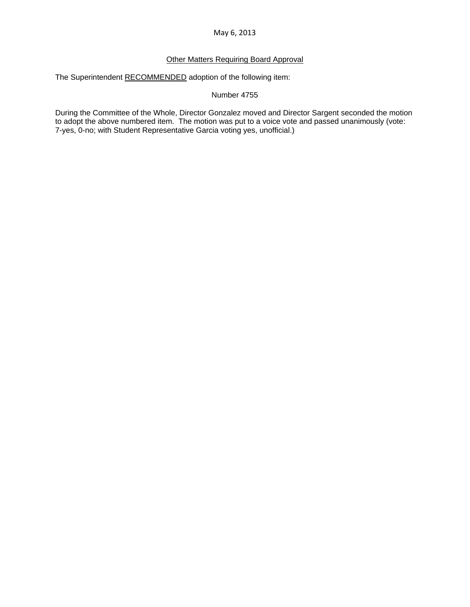## Other Matters Requiring Board Approval

The Superintendent RECOMMENDED adoption of the following item:

#### Number 4755

During the Committee of the Whole, Director Gonzalez moved and Director Sargent seconded the motion to adopt the above numbered item. The motion was put to a voice vote and passed unanimously (vote: 7-yes, 0-no; with Student Representative Garcia voting yes, unofficial.)